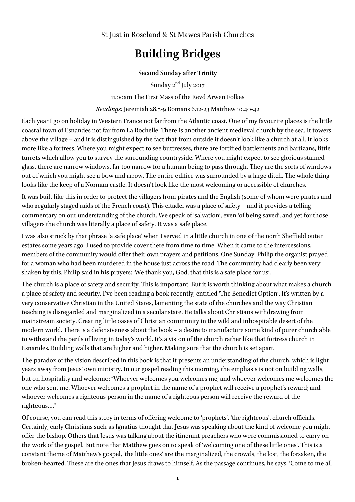St Just in Roseland & St Mawes Parish Churches

## **Building Bridges**

## **Second Sunday after Trinity**

Sunday  $2^{nd}$  July 2017

11.00am The First Mass of the Revd Arwen Folkes

*Readings:* Jeremiah 28.5-9 Romans 6.12-23 Matthew 10.40-42

Each year I go on holiday in Western France not far from the Atlantic coast. One of my favourite places is the little coastal town of Esnandes not far from La Rochelle. There is another ancient medieval church by the sea. It towers above the village – and it is distinguished by the fact that from outside it doesn't look like a church at all. It looks more like a fortress. Where you might expect to see buttresses, there are fortified battlements and bartizans, little turrets which allow you to survey the surrounding countryside. Where you might expect to see glorious stained glass, there are narrow windows, far too narrow for a human being to pass through. They are the sorts of windows out of which you might see a bow and arrow. The entire edifice was surrounded by a large ditch. The whole thing looks like the keep of a Norman castle. It doesn't look like the most welcoming or accessible of churches.

It was built like this in order to protect the villagers from pirates and the English (some of whom were pirates and who regularly staged raids of the French coast). This citadel was a place of safety – and it provides a telling commentary on our understanding of the church. We speak of 'salvation', even 'of being saved', and yet for those villagers the church was literally a place of safety. It was a safe place.

I was also struck by that phrase 'a safe place' when I served in a little church in one of the north Sheffield outer estates some years ago. I used to provide cover there from time to time. When it came to the intercessions, members of the community would offer their own prayers and petitions. One Sunday, Philip the organist prayed for a woman who had been murdered in the house just across the road. The community had clearly been very shaken by this. Philip said in his prayers: 'We thank you, God, that this is a safe place for us'.

The church is a place of safety and security. This is important. But it is worth thinking about what makes a church a place of safety and security. I've been reading a book recently, entitled 'The Benedict Option'. It's written by a very conservative Christian in the United States, lamenting the state of the churches and the way Christian teaching is disregarded and marginalized in a secular state. He talks about Christians withdrawing from mainstream society. Creating little oases of Christian community in the wild and inhospitable desert of the modern world. There is a defensiveness about the book – a desire to manufacture some kind of purer church able to withstand the perils of living in today's world. It's a vision of the church rather like that fortress church in Esnandes. Building walls that are higher and higher. Making sure that the church is set apart.

The paradox of the vision described in this book is that it presents an understanding of the church, which is light years away from Jesus' own ministry. In our gospel reading this morning, the emphasis is not on building walls, but on hospitality and welcome: "Whoever welcomes you welcomes me, and whoever welcomes me welcomes the one who sent me. Whoever welcomes a prophet in the name of a prophet will receive a prophet's reward; and whoever welcomes a righteous person in the name of a righteous person will receive the reward of the righteous…."

Of course, you can read this story in terms of offering welcome to 'prophets', 'the righteous', church officials. Certainly, early Christians such as Ignatius thought that Jesus was speaking about the kind of welcome you might offer the bishop. Others that Jesus was talking about the itinerant preachers who were commissioned to carry on the work of the gospel. But note that Matthew goes on to speak of 'welcoming one of these little ones'. This is a constant theme of Matthew's gospel, 'the little ones' are the marginalized, the crowds, the lost, the forsaken, the broken-hearted. These are the ones that Jesus draws to himself. As the passage continues, he says, 'Come to me all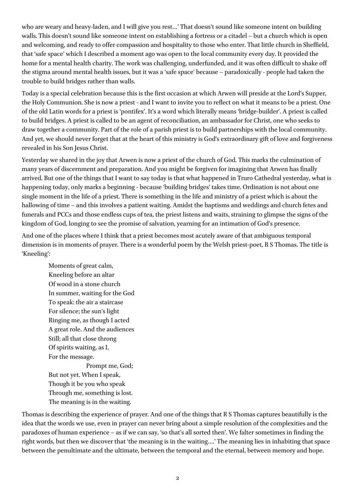who are weary and heavy-laden, and I will give you rest…' That doesn't sound like someone intent on building walls. This doesn't sound like someone intent on establishing a fortress or a citadel – but a church which is open and welcoming, and ready to offer compassion and hospitality to those who enter. That little church in Sheffield, that 'safe space' which I described a moment ago was open to the local community every day. It provided the home for a mental health charity. The work was challenging, underfunded, and it was often difficult to shake off the stigma around mental health issues, but it was a 'safe space' because – paradoxically - people had taken the trouble to build bridges rather than walls.

Today is a special celebration because this is the first occasion at which Arwen will preside at the Lord's Supper, the Holy Communion. She is now a priest - and I want to invite you to reflect on what it means to be a priest. One of the old Latin words for a priest is 'pontifex'. It's a word which literally means 'bridge-builder'. A priest is called to build bridges. A priest is called to be an agent of reconciliation, an ambassador for Christ, one who seeks to draw together a community. Part of the role of a parish priest is to build partnerships with the local community. And yet, we should never forget that at the heart of this ministry is God's extraordinary gift of love and forgiveness revealed in his Son Jesus Christ.

Yesterday we shared in the joy that Arwen is now a priest of the church of God. This marks the culmination of many years of discernment and preparation. And you might be forgiven for imagining that Arwen has finally arrived. But one of the things that I want to say today is that what happened in Truro Cathedral yesterday, what is happening today, only marks a beginning - because 'building bridges' takes time. Ordination is not about one single moment in the life of a priest. There is something in the life and ministry of a priest which is about the hallowing of time – and this involves a patient waiting. Amidst the baptisms and weddings and church fetes and funerals and PCCs and those endless cups of tea, the priest listens and waits, straining to glimpse the signs of the kingdom of God, longing to see the promise of salvation, yearning for an intimation of God's presence.

And one of the places where I think that a priest becomes most acutely aware of that ambiguous temporal dimension is in moments of prayer. There is a wonderful poem by the Welsh priest-poet, R S Thomas. The title is 'Kneeling':

Moments of great calm, Kneeling before an altar Of wood in a stone church In summer, waiting for the God To speak: the air a staircase For silence; the sun's light Ringing me, as though I acted A great role. And the audiences Still; all that close throng Of spirits waiting, as I, For the message. Prompt me, God;

But not yet. When I speak, Though it be you who speak Through me, something is lost. The meaning is in the waiting.

Thomas is describing the experience of prayer. And one of the things that R S Thomas captures beautifully is the idea that the words we use, even in prayer can never bring about a simple resolution of the complexities and the paradoxes of human experience – as if we can say, 'so that's all sorted then'. We falter sometimes in finding the right words, but then we discover that 'the meaning is in the waiting….' The meaning lies in inhabiting that space between the penultimate and the ultimate, between the temporal and the eternal, between memory and hope.